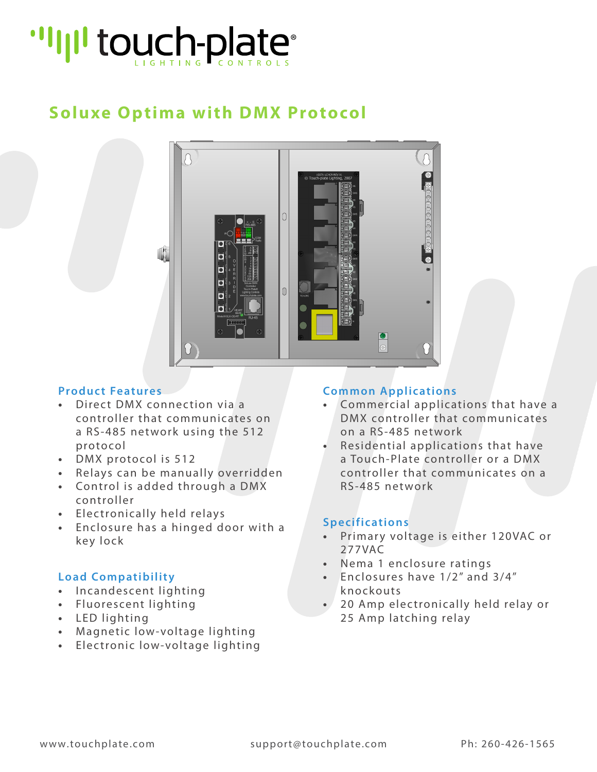# "I'll touch-plate"

## **Soluxe Optima with DMX Protocol**



#### **Product Features**

- **•** Direct DMX connection via a controller that communicates on a RS-485 network using the 512 protocol
- **•** DMX protocol is 512
- **•** Relays can be manually overridden
- **•** Control is added through a DMX controller
- **•** Electronically held relays
- **•** Enclosure has a hinged door with a key lock

#### **Load Compatibility**

- **•** Incandescent lighting
- **•** Fluorescent lighting
- **•** LED lighting
- **•** Magnetic low-voltage lighting
- **•** Electronic low-voltage lighting

#### **Common Applications**

- **•** Commercial applications that have a DMX controller that communicates on a RS-485 network
- **•** Residential applications that have a Touch-Plate controller or a DMX controller that communicates on a RS-485 network

#### **Specifications**

- **•** Primary voltage is either 120VAC or 277VAC
- **•** Nema 1 enclosure ratings
- **•** Enclosures have 1/2" and 3/4" knockouts
- **•** 20 Amp electronically held relay or 25 Amp latching relay